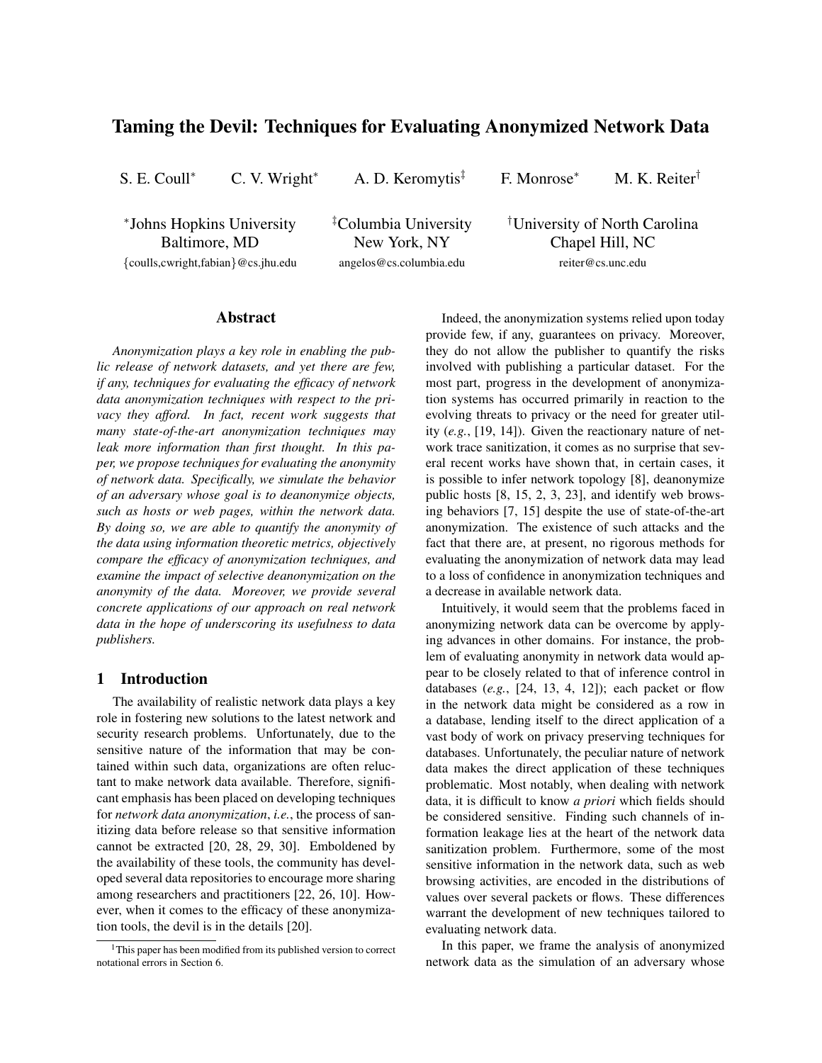# Taming the Devil: Techniques for Evaluating Anonymized Network Data

S. E. Coull<sup>∗</sup> C. V. Wright<sup>∗</sup> A. D. Keromytis‡ F. Monrose<sup>∗</sup> M. K. Reiter†

∗ Johns Hopkins University Baltimore, MD {coulls,cwright,fabian}@cs.jhu.edu ‡Columbia University New York, NY angelos@cs.columbia.edu

†University of North Carolina Chapel Hill, NC reiter@cs.unc.edu

### Abstract

*Anonymization plays a key role in enabling the public release of network datasets, and yet there are few, if any, techniques for evaluating the efficacy of network data anonymization techniques with respect to the privacy they afford. In fact, recent work suggests that many state-of-the-art anonymization techniques may leak more information than first thought. In this paper, we propose techniques for evaluating the anonymity of network data. Specifically, we simulate the behavior of an adversary whose goal is to deanonymize objects, such as hosts or web pages, within the network data. By doing so, we are able to quantify the anonymity of the data using information theoretic metrics, objectively compare the efficacy of anonymization techniques, and examine the impact of selective deanonymization on the anonymity of the data. Moreover, we provide several concrete applications of our approach on real network data in the hope of underscoring its usefulness to data publishers.*

# 1 Introduction

The availability of realistic network data plays a key role in fostering new solutions to the latest network and security research problems. Unfortunately, due to the sensitive nature of the information that may be contained within such data, organizations are often reluctant to make network data available. Therefore, significant emphasis has been placed on developing techniques for *network data anonymization*, *i.e.*, the process of sanitizing data before release so that sensitive information cannot be extracted [20, 28, 29, 30]. Emboldened by the availability of these tools, the community has developed several data repositories to encourage more sharing among researchers and practitioners [22, 26, 10]. However, when it comes to the efficacy of these anonymization tools, the devil is in the details [20].

Indeed, the anonymization systems relied upon today provide few, if any, guarantees on privacy. Moreover, they do not allow the publisher to quantify the risks involved with publishing a particular dataset. For the most part, progress in the development of anonymization systems has occurred primarily in reaction to the evolving threats to privacy or the need for greater utility (*e.g.*, [19, 14]). Given the reactionary nature of network trace sanitization, it comes as no surprise that several recent works have shown that, in certain cases, it is possible to infer network topology [8], deanonymize public hosts [8, 15, 2, 3, 23], and identify web browsing behaviors [7, 15] despite the use of state-of-the-art anonymization. The existence of such attacks and the fact that there are, at present, no rigorous methods for evaluating the anonymization of network data may lead to a loss of confidence in anonymization techniques and a decrease in available network data.

Intuitively, it would seem that the problems faced in anonymizing network data can be overcome by applying advances in other domains. For instance, the problem of evaluating anonymity in network data would appear to be closely related to that of inference control in databases (*e.g.*, [24, 13, 4, 12]); each packet or flow in the network data might be considered as a row in a database, lending itself to the direct application of a vast body of work on privacy preserving techniques for databases. Unfortunately, the peculiar nature of network data makes the direct application of these techniques problematic. Most notably, when dealing with network data, it is difficult to know *a priori* which fields should be considered sensitive. Finding such channels of information leakage lies at the heart of the network data sanitization problem. Furthermore, some of the most sensitive information in the network data, such as web browsing activities, are encoded in the distributions of values over several packets or flows. These differences warrant the development of new techniques tailored to evaluating network data.

In this paper, we frame the analysis of anonymized network data as the simulation of an adversary whose

 $1$ This paper has been modified from its published version to correct notational errors in Section 6.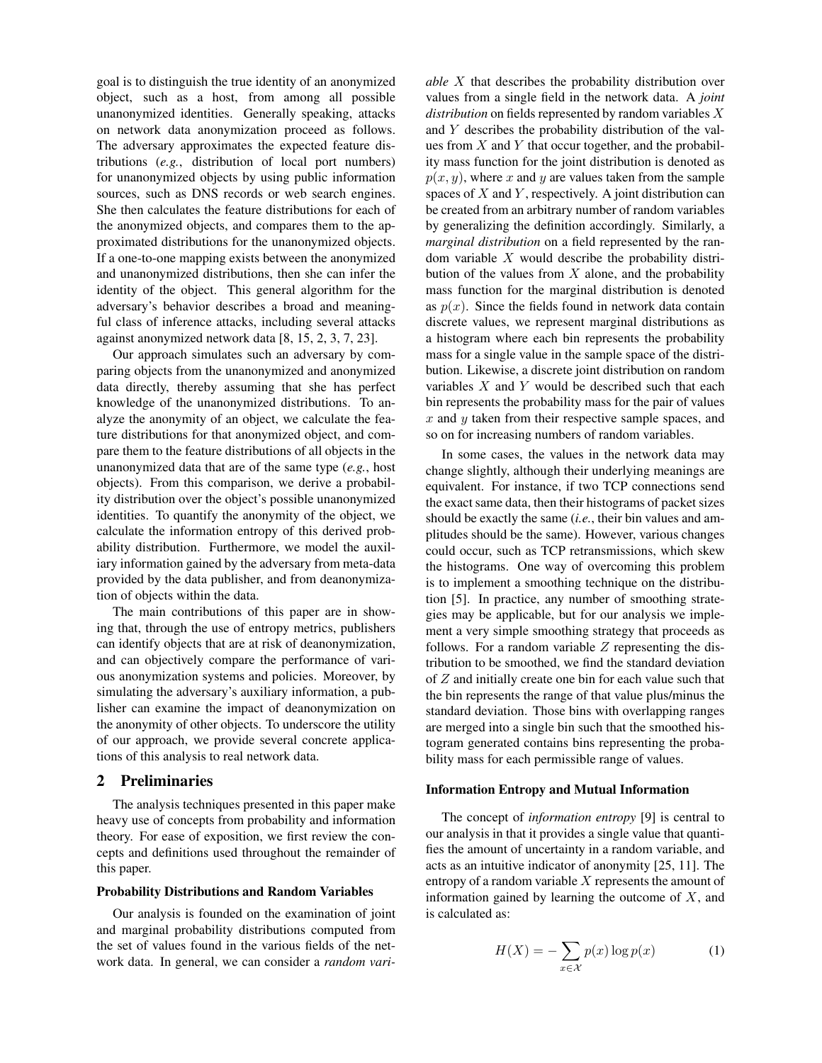goal is to distinguish the true identity of an anonymized object, such as a host, from among all possible unanonymized identities. Generally speaking, attacks on network data anonymization proceed as follows. The adversary approximates the expected feature distributions (*e.g.*, distribution of local port numbers) for unanonymized objects by using public information sources, such as DNS records or web search engines. She then calculates the feature distributions for each of the anonymized objects, and compares them to the approximated distributions for the unanonymized objects. If a one-to-one mapping exists between the anonymized and unanonymized distributions, then she can infer the identity of the object. This general algorithm for the adversary's behavior describes a broad and meaningful class of inference attacks, including several attacks against anonymized network data [8, 15, 2, 3, 7, 23].

Our approach simulates such an adversary by comparing objects from the unanonymized and anonymized data directly, thereby assuming that she has perfect knowledge of the unanonymized distributions. To analyze the anonymity of an object, we calculate the feature distributions for that anonymized object, and compare them to the feature distributions of all objects in the unanonymized data that are of the same type (*e.g.*, host objects). From this comparison, we derive a probability distribution over the object's possible unanonymized identities. To quantify the anonymity of the object, we calculate the information entropy of this derived probability distribution. Furthermore, we model the auxiliary information gained by the adversary from meta-data provided by the data publisher, and from deanonymization of objects within the data.

The main contributions of this paper are in showing that, through the use of entropy metrics, publishers can identify objects that are at risk of deanonymization, and can objectively compare the performance of various anonymization systems and policies. Moreover, by simulating the adversary's auxiliary information, a publisher can examine the impact of deanonymization on the anonymity of other objects. To underscore the utility of our approach, we provide several concrete applications of this analysis to real network data.

### 2 Preliminaries

The analysis techniques presented in this paper make heavy use of concepts from probability and information theory. For ease of exposition, we first review the concepts and definitions used throughout the remainder of this paper.

### Probability Distributions and Random Variables

Our analysis is founded on the examination of joint and marginal probability distributions computed from the set of values found in the various fields of the network data. In general, we can consider a *random vari-* *able* X that describes the probability distribution over values from a single field in the network data. A *joint distribution* on fields represented by random variables X and Y describes the probability distribution of the values from  $X$  and  $Y$  that occur together, and the probability mass function for the joint distribution is denoted as  $p(x, y)$ , where x and y are values taken from the sample spaces of  $X$  and  $Y$ , respectively. A joint distribution can be created from an arbitrary number of random variables by generalizing the definition accordingly. Similarly, a *marginal distribution* on a field represented by the random variable  $X$  would describe the probability distribution of the values from  $X$  alone, and the probability mass function for the marginal distribution is denoted as  $p(x)$ . Since the fields found in network data contain discrete values, we represent marginal distributions as a histogram where each bin represents the probability mass for a single value in the sample space of the distribution. Likewise, a discrete joint distribution on random variables  $X$  and  $Y$  would be described such that each bin represents the probability mass for the pair of values  $x$  and  $y$  taken from their respective sample spaces, and so on for increasing numbers of random variables.

In some cases, the values in the network data may change slightly, although their underlying meanings are equivalent. For instance, if two TCP connections send the exact same data, then their histograms of packet sizes should be exactly the same (*i.e.*, their bin values and amplitudes should be the same). However, various changes could occur, such as TCP retransmissions, which skew the histograms. One way of overcoming this problem is to implement a smoothing technique on the distribution [5]. In practice, any number of smoothing strategies may be applicable, but for our analysis we implement a very simple smoothing strategy that proceeds as follows. For a random variable  $Z$  representing the distribution to be smoothed, we find the standard deviation of Z and initially create one bin for each value such that the bin represents the range of that value plus/minus the standard deviation. Those bins with overlapping ranges are merged into a single bin such that the smoothed histogram generated contains bins representing the probability mass for each permissible range of values.

#### Information Entropy and Mutual Information

The concept of *information entropy* [9] is central to our analysis in that it provides a single value that quantifies the amount of uncertainty in a random variable, and acts as an intuitive indicator of anonymity [25, 11]. The entropy of a random variable X represents the amount of information gained by learning the outcome of  $X$ , and is calculated as:

$$
H(X) = -\sum_{x \in \mathcal{X}} p(x) \log p(x) \tag{1}
$$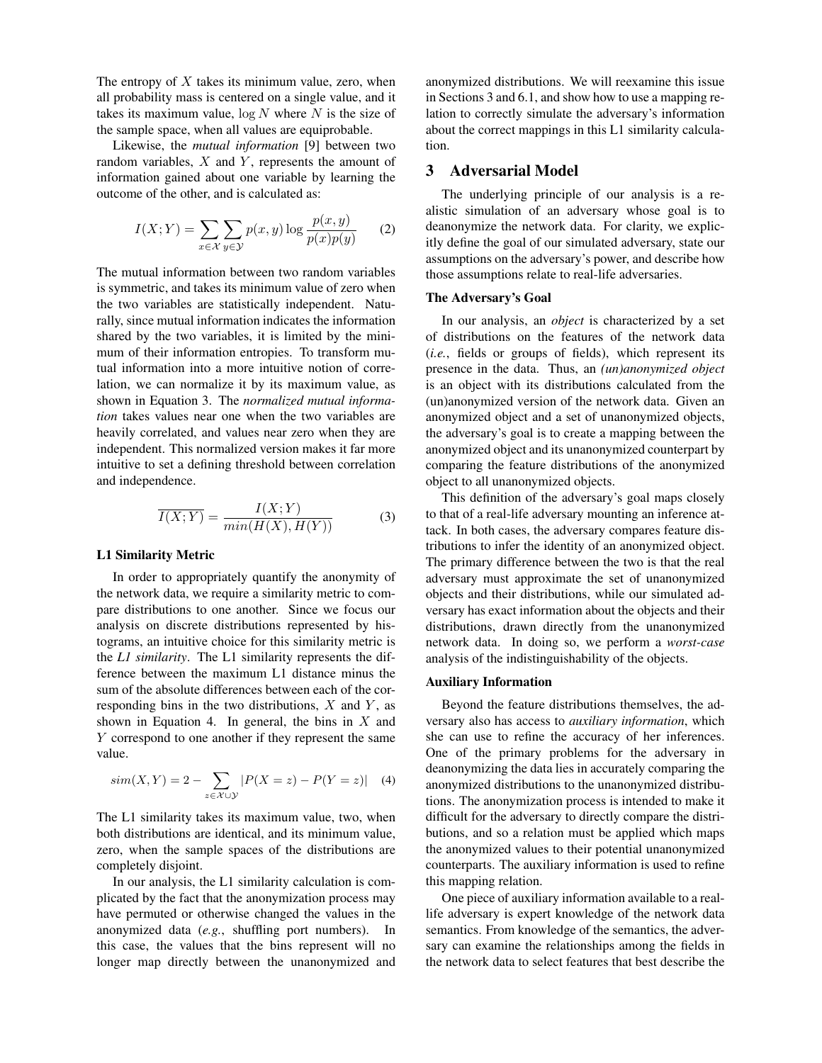The entropy of  $X$  takes its minimum value, zero, when all probability mass is centered on a single value, and it takes its maximum value,  $log N$  where N is the size of the sample space, when all values are equiprobable.

Likewise, the *mutual information* [9] between two random variables,  $X$  and  $Y$ , represents the amount of information gained about one variable by learning the outcome of the other, and is calculated as:

$$
I(X;Y) = \sum_{x \in \mathcal{X}} \sum_{y \in \mathcal{Y}} p(x,y) \log \frac{p(x,y)}{p(x)p(y)} \qquad (2)
$$

The mutual information between two random variables is symmetric, and takes its minimum value of zero when the two variables are statistically independent. Naturally, since mutual information indicates the information shared by the two variables, it is limited by the minimum of their information entropies. To transform mutual information into a more intuitive notion of correlation, we can normalize it by its maximum value, as shown in Equation 3. The *normalized mutual information* takes values near one when the two variables are heavily correlated, and values near zero when they are independent. This normalized version makes it far more intuitive to set a defining threshold between correlation and independence.

$$
\overline{I(X;Y)} = \frac{I(X;Y)}{\min(H(X), H(Y))}
$$
(3)

#### L1 Similarity Metric

In order to appropriately quantify the anonymity of the network data, we require a similarity metric to compare distributions to one another. Since we focus our analysis on discrete distributions represented by histograms, an intuitive choice for this similarity metric is the *L1 similarity*. The L1 similarity represents the difference between the maximum L1 distance minus the sum of the absolute differences between each of the corresponding bins in the two distributions,  $X$  and  $Y$ , as shown in Equation 4. In general, the bins in  $X$  and Y correspond to one another if they represent the same value.

$$
sim(X, Y) = 2 - \sum_{z \in \mathcal{X} \cup \mathcal{Y}} |P(X = z) - P(Y = z)| \quad (4)
$$

The L1 similarity takes its maximum value, two, when both distributions are identical, and its minimum value, zero, when the sample spaces of the distributions are completely disjoint.

In our analysis, the L1 similarity calculation is complicated by the fact that the anonymization process may have permuted or otherwise changed the values in the anonymized data (*e.g.*, shuffling port numbers). In this case, the values that the bins represent will no longer map directly between the unanonymized and

anonymized distributions. We will reexamine this issue in Sections 3 and 6.1, and show how to use a mapping relation to correctly simulate the adversary's information about the correct mappings in this L1 similarity calculation.

# 3 Adversarial Model

The underlying principle of our analysis is a realistic simulation of an adversary whose goal is to deanonymize the network data. For clarity, we explicitly define the goal of our simulated adversary, state our assumptions on the adversary's power, and describe how those assumptions relate to real-life adversaries.

#### The Adversary's Goal

In our analysis, an *object* is characterized by a set of distributions on the features of the network data (*i.e.*, fields or groups of fields), which represent its presence in the data. Thus, an *(un)anonymized object* is an object with its distributions calculated from the (un)anonymized version of the network data. Given an anonymized object and a set of unanonymized objects, the adversary's goal is to create a mapping between the anonymized object and its unanonymized counterpart by comparing the feature distributions of the anonymized object to all unanonymized objects.

This definition of the adversary's goal maps closely to that of a real-life adversary mounting an inference attack. In both cases, the adversary compares feature distributions to infer the identity of an anonymized object. The primary difference between the two is that the real adversary must approximate the set of unanonymized objects and their distributions, while our simulated adversary has exact information about the objects and their distributions, drawn directly from the unanonymized network data. In doing so, we perform a *worst-case* analysis of the indistinguishability of the objects.

#### Auxiliary Information

Beyond the feature distributions themselves, the adversary also has access to *auxiliary information*, which she can use to refine the accuracy of her inferences. One of the primary problems for the adversary in deanonymizing the data lies in accurately comparing the anonymized distributions to the unanonymized distributions. The anonymization process is intended to make it difficult for the adversary to directly compare the distributions, and so a relation must be applied which maps the anonymized values to their potential unanonymized counterparts. The auxiliary information is used to refine this mapping relation.

One piece of auxiliary information available to a reallife adversary is expert knowledge of the network data semantics. From knowledge of the semantics, the adversary can examine the relationships among the fields in the network data to select features that best describe the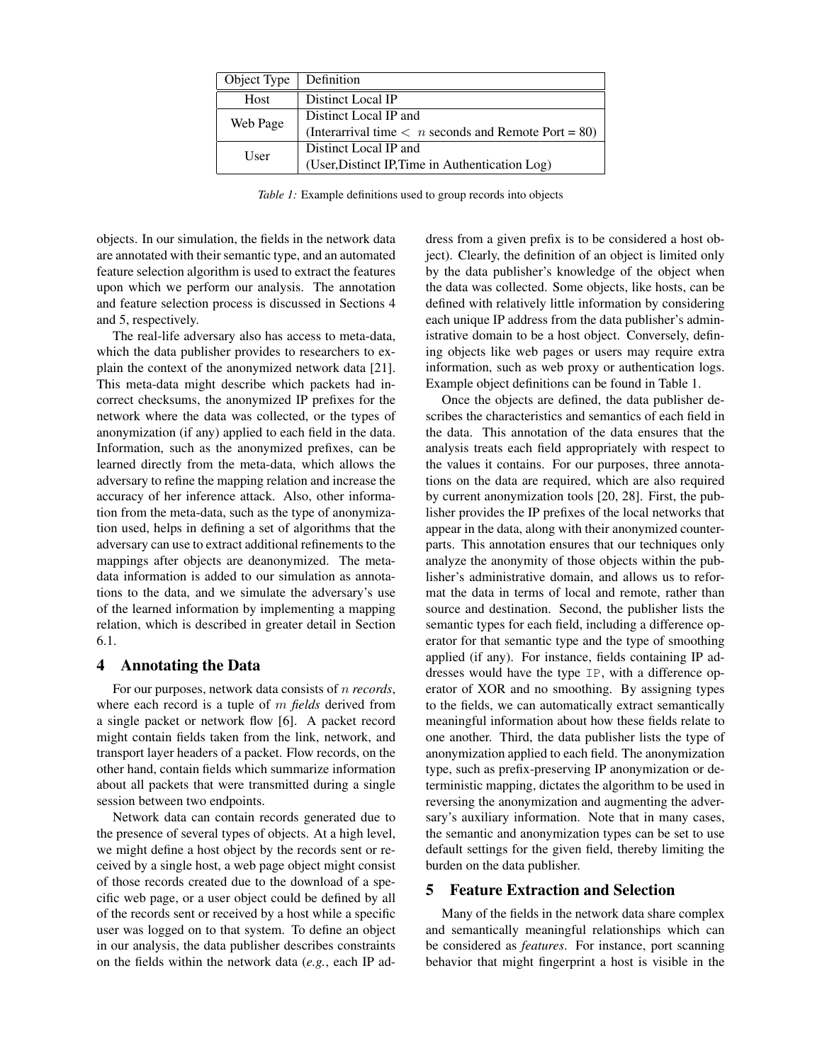| Object Type | Definition                                                                    |
|-------------|-------------------------------------------------------------------------------|
| Host        | Distinct Local IP                                                             |
| Web Page    | Distinct Local IP and                                                         |
|             | (Interarrival time $\langle n \text{ seconds and Remote Port} = 80 \rangle$ ) |
| User        | Distinct Local IP and                                                         |
|             | (User, Distinct IP, Time in Authentication Log)                               |

*Table 1:* Example definitions used to group records into objects

objects. In our simulation, the fields in the network data are annotated with their semantic type, and an automated feature selection algorithm is used to extract the features upon which we perform our analysis. The annotation and feature selection process is discussed in Sections 4 and 5, respectively.

The real-life adversary also has access to meta-data, which the data publisher provides to researchers to explain the context of the anonymized network data [21]. This meta-data might describe which packets had incorrect checksums, the anonymized IP prefixes for the network where the data was collected, or the types of anonymization (if any) applied to each field in the data. Information, such as the anonymized prefixes, can be learned directly from the meta-data, which allows the adversary to refine the mapping relation and increase the accuracy of her inference attack. Also, other information from the meta-data, such as the type of anonymization used, helps in defining a set of algorithms that the adversary can use to extract additional refinements to the mappings after objects are deanonymized. The metadata information is added to our simulation as annotations to the data, and we simulate the adversary's use of the learned information by implementing a mapping relation, which is described in greater detail in Section 6.1.

### 4 Annotating the Data

For our purposes, network data consists of n *records*, where each record is a tuple of m *fields* derived from a single packet or network flow [6]. A packet record might contain fields taken from the link, network, and transport layer headers of a packet. Flow records, on the other hand, contain fields which summarize information about all packets that were transmitted during a single session between two endpoints.

Network data can contain records generated due to the presence of several types of objects. At a high level, we might define a host object by the records sent or received by a single host, a web page object might consist of those records created due to the download of a specific web page, or a user object could be defined by all of the records sent or received by a host while a specific user was logged on to that system. To define an object in our analysis, the data publisher describes constraints on the fields within the network data (*e.g.*, each IP ad-

dress from a given prefix is to be considered a host object). Clearly, the definition of an object is limited only by the data publisher's knowledge of the object when the data was collected. Some objects, like hosts, can be defined with relatively little information by considering each unique IP address from the data publisher's administrative domain to be a host object. Conversely, defining objects like web pages or users may require extra information, such as web proxy or authentication logs. Example object definitions can be found in Table 1.

Once the objects are defined, the data publisher describes the characteristics and semantics of each field in the data. This annotation of the data ensures that the analysis treats each field appropriately with respect to the values it contains. For our purposes, three annotations on the data are required, which are also required by current anonymization tools [20, 28]. First, the publisher provides the IP prefixes of the local networks that appear in the data, along with their anonymized counterparts. This annotation ensures that our techniques only analyze the anonymity of those objects within the publisher's administrative domain, and allows us to reformat the data in terms of local and remote, rather than source and destination. Second, the publisher lists the semantic types for each field, including a difference operator for that semantic type and the type of smoothing applied (if any). For instance, fields containing IP addresses would have the type IP, with a difference operator of XOR and no smoothing. By assigning types to the fields, we can automatically extract semantically meaningful information about how these fields relate to one another. Third, the data publisher lists the type of anonymization applied to each field. The anonymization type, such as prefix-preserving IP anonymization or deterministic mapping, dictates the algorithm to be used in reversing the anonymization and augmenting the adversary's auxiliary information. Note that in many cases, the semantic and anonymization types can be set to use default settings for the given field, thereby limiting the burden on the data publisher.

### 5 Feature Extraction and Selection

Many of the fields in the network data share complex and semantically meaningful relationships which can be considered as *features*. For instance, port scanning behavior that might fingerprint a host is visible in the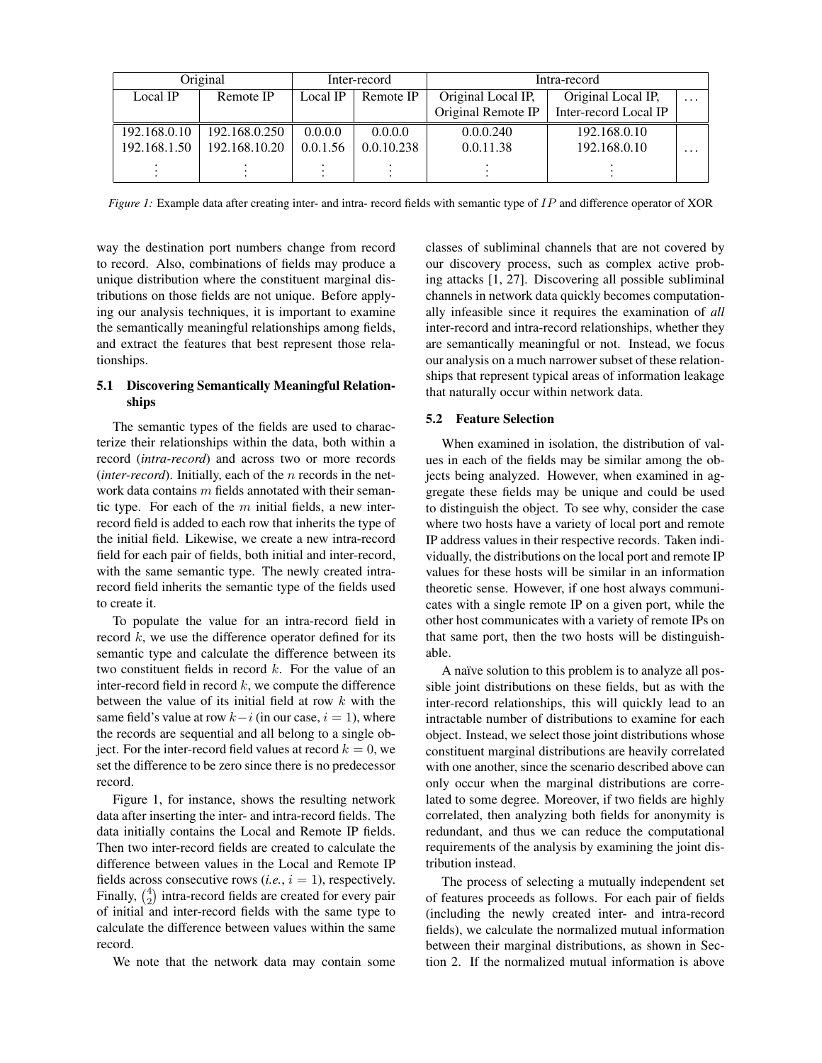| Original     |               | Inter-record |            | Intra-record       |                       |          |
|--------------|---------------|--------------|------------|--------------------|-----------------------|----------|
| Local IP     | Remote IP     | Local IP     | Remote IP  | Original Local IP. | Original Local IP.    | $\cdot$  |
|              |               |              |            | Original Remote IP | Inter-record Local IP |          |
| 192.168.0.10 | 192.168.0.250 | 0.0.0.0      | 0.0.0.0    | 0.0.0.240          | 192.168.0.10          |          |
| 192.168.1.50 | 192.168.10.20 | 0.0.1.56     | 0.0.10.238 | 0.0.11.38          | 192.168.0.10          | $\cdots$ |
|              |               |              |            |                    |                       |          |

*Figure 1:* Example data after creating inter- and intra- record fields with semantic type of IP and difference operator of XOR

way the destination port numbers change from record to record. Also, combinations of fields may produce a unique distribution where the constituent marginal distributions on those fields are not unique. Before applying our analysis techniques, it is important to examine the semantically meaningful relationships among fields, and extract the features that best represent those relationships.

# 5.1 Discovering Semantically Meaningful Relationships

The semantic types of the fields are used to characterize their relationships within the data, both within a record (*intra-record*) and across two or more records (*inter-record*). Initially, each of the *n* records in the network data contains m fields annotated with their semantic type. For each of the  $m$  initial fields, a new interrecord field is added to each row that inherits the type of the initial field. Likewise, we create a new intra-record field for each pair of fields, both initial and inter-record, with the same semantic type. The newly created intrarecord field inherits the semantic type of the fields used to create it.

To populate the value for an intra-record field in record  $k$ , we use the difference operator defined for its semantic type and calculate the difference between its two constituent fields in record  $k$ . For the value of an inter-record field in record  $k$ , we compute the difference between the value of its initial field at row  $k$  with the same field's value at row  $k-i$  (in our case,  $i = 1$ ), where the records are sequential and all belong to a single object. For the inter-record field values at record  $k = 0$ , we set the difference to be zero since there is no predecessor record.

Figure 1, for instance, shows the resulting network data after inserting the inter- and intra-record fields. The data initially contains the Local and Remote IP fields. Then two inter-record fields are created to calculate the difference between values in the Local and Remote IP fields across consecutive rows  $(i.e., i = 1)$ , respectively. Finally,  $\binom{4}{2}$  intra-record fields are created for every pair of initial and inter-record fields with the same type to calculate the difference between values within the same record.

We note that the network data may contain some

classes of subliminal channels that are not covered by our discovery process, such as complex active probing attacks [1, 27]. Discovering all possible subliminal channels in network data quickly becomes computationally infeasible since it requires the examination of *all* inter-record and intra-record relationships, whether they are semantically meaningful or not. Instead, we focus our analysis on a much narrower subset of these relationships that represent typical areas of information leakage that naturally occur within network data.

# 5.2 Feature Selection

When examined in isolation, the distribution of values in each of the fields may be similar among the objects being analyzed. However, when examined in aggregate these fields may be unique and could be used to distinguish the object. To see why, consider the case where two hosts have a variety of local port and remote IP address values in their respective records. Taken individually, the distributions on the local port and remote IP values for these hosts will be similar in an information theoretic sense. However, if one host always communicates with a single remote IP on a given port, while the other host communicates with a variety of remote IPs on that same port, then the two hosts will be distinguishable.

A naïve solution to this problem is to analyze all possible joint distributions on these fields, but as with the inter-record relationships, this will quickly lead to an intractable number of distributions to examine for each object. Instead, we select those joint distributions whose constituent marginal distributions are heavily correlated with one another, since the scenario described above can only occur when the marginal distributions are correlated to some degree. Moreover, if two fields are highly correlated, then analyzing both fields for anonymity is redundant, and thus we can reduce the computational requirements of the analysis by examining the joint distribution instead.

The process of selecting a mutually independent set of features proceeds as follows. For each pair of fields (including the newly created inter- and intra-record fields), we calculate the normalized mutual information between their marginal distributions, as shown in Section 2. If the normalized mutual information is above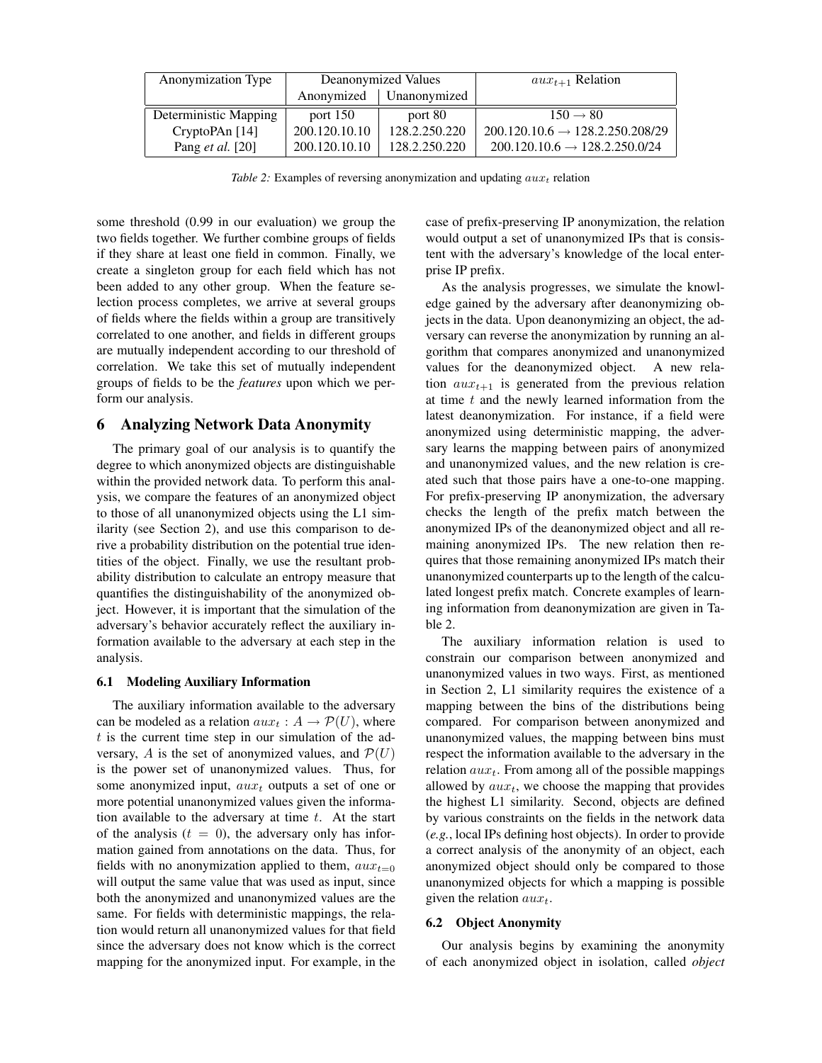| Anonymization Type      | Deanonymized Values |               | $aux_{t+1}$ Relation                        |
|-------------------------|---------------------|---------------|---------------------------------------------|
|                         | Anonymized          | Unanonymized  |                                             |
| Deterministic Mapping   | port $150$          | port 80       | $150 \rightarrow 80$                        |
| CryptoPAn [14]          | 200.120.10.10       | 128.2.250.220 | $200.120.10.6 \rightarrow 128.2.250.208/29$ |
| Pang <i>et al.</i> [20] | 200.120.10.10       | 128.2.250.220 | $200.120.10.6 \rightarrow 128.2.250.0/24$   |

*Table 2:* Examples of reversing anonymization and updating  $aux_t$  relation

some threshold (0.99 in our evaluation) we group the two fields together. We further combine groups of fields if they share at least one field in common. Finally, we create a singleton group for each field which has not been added to any other group. When the feature selection process completes, we arrive at several groups of fields where the fields within a group are transitively correlated to one another, and fields in different groups are mutually independent according to our threshold of correlation. We take this set of mutually independent groups of fields to be the *features* upon which we perform our analysis.

### 6 Analyzing Network Data Anonymity

The primary goal of our analysis is to quantify the degree to which anonymized objects are distinguishable within the provided network data. To perform this analysis, we compare the features of an anonymized object to those of all unanonymized objects using the L1 similarity (see Section 2), and use this comparison to derive a probability distribution on the potential true identities of the object. Finally, we use the resultant probability distribution to calculate an entropy measure that quantifies the distinguishability of the anonymized object. However, it is important that the simulation of the adversary's behavior accurately reflect the auxiliary information available to the adversary at each step in the analysis.

#### 6.1 Modeling Auxiliary Information

The auxiliary information available to the adversary can be modeled as a relation  $aux_t : A \rightarrow \mathcal{P}(U)$ , where  $t$  is the current time step in our simulation of the adversary, A is the set of anonymized values, and  $\mathcal{P}(U)$ is the power set of unanonymized values. Thus, for some anonymized input,  $aux_t$  outputs a set of one or more potential unanonymized values given the information available to the adversary at time  $t$ . At the start of the analysis  $(t = 0)$ , the adversary only has information gained from annotations on the data. Thus, for fields with no anonymization applied to them,  $aux_{t=0}$ will output the same value that was used as input, since both the anonymized and unanonymized values are the same. For fields with deterministic mappings, the relation would return all unanonymized values for that field since the adversary does not know which is the correct mapping for the anonymized input. For example, in the case of prefix-preserving IP anonymization, the relation would output a set of unanonymized IPs that is consistent with the adversary's knowledge of the local enterprise IP prefix.

As the analysis progresses, we simulate the knowledge gained by the adversary after deanonymizing objects in the data. Upon deanonymizing an object, the adversary can reverse the anonymization by running an algorithm that compares anonymized and unanonymized values for the deanonymized object. A new relation  $aux_{t+1}$  is generated from the previous relation at time  $t$  and the newly learned information from the latest deanonymization. For instance, if a field were anonymized using deterministic mapping, the adversary learns the mapping between pairs of anonymized and unanonymized values, and the new relation is created such that those pairs have a one-to-one mapping. For prefix-preserving IP anonymization, the adversary checks the length of the prefix match between the anonymized IPs of the deanonymized object and all remaining anonymized IPs. The new relation then requires that those remaining anonymized IPs match their unanonymized counterparts up to the length of the calculated longest prefix match. Concrete examples of learning information from deanonymization are given in Table 2.

The auxiliary information relation is used to constrain our comparison between anonymized and unanonymized values in two ways. First, as mentioned in Section 2, L1 similarity requires the existence of a mapping between the bins of the distributions being compared. For comparison between anonymized and unanonymized values, the mapping between bins must respect the information available to the adversary in the relation  $aux_t$ . From among all of the possible mappings allowed by  $aux_t$ , we choose the mapping that provides the highest L1 similarity. Second, objects are defined by various constraints on the fields in the network data (*e.g.*, local IPs defining host objects). In order to provide a correct analysis of the anonymity of an object, each anonymized object should only be compared to those unanonymized objects for which a mapping is possible given the relation  $aux_t$ .

### 6.2 Object Anonymity

Our analysis begins by examining the anonymity of each anonymized object in isolation, called *object*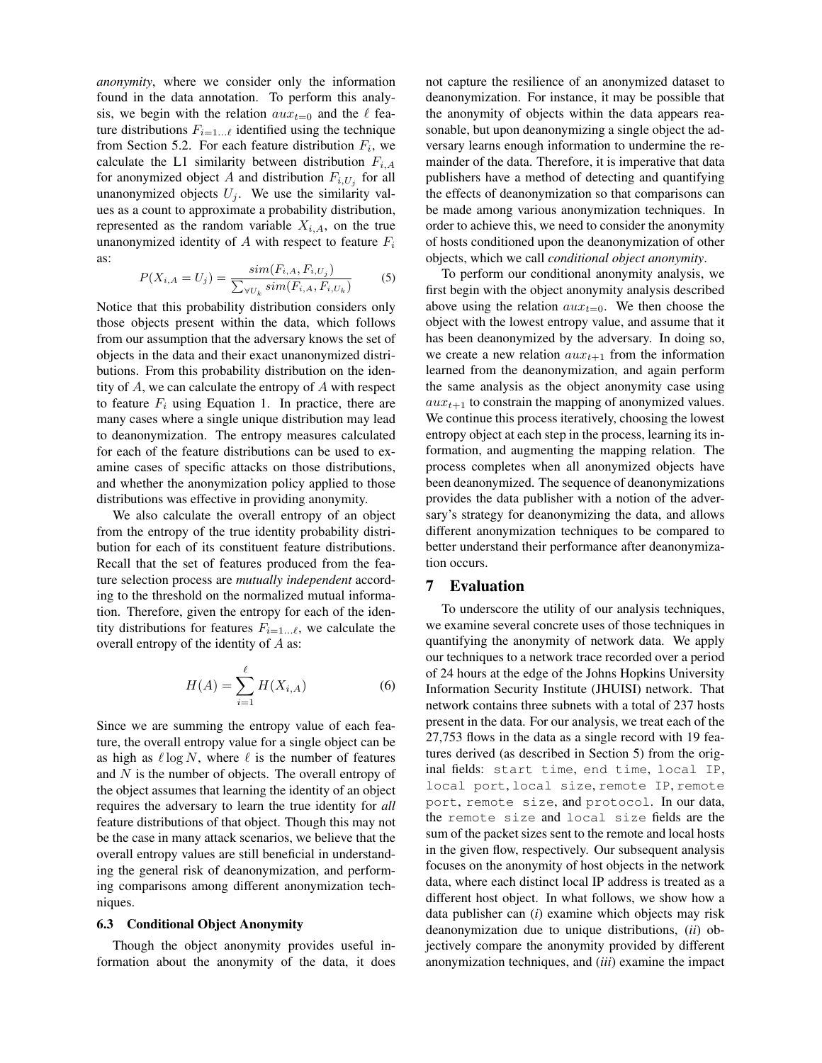*anonymity*, where we consider only the information found in the data annotation. To perform this analysis, we begin with the relation  $aux_{t=0}$  and the  $\ell$  feature distributions  $F_{i=1...l}$  identified using the technique from Section 5.2. For each feature distribution  $F_i$ , we calculate the L1 similarity between distribution  $F_{i,A}$ for anonymized object A and distribution  $F_{i, U_j}$  for all unanonymized objects  $U_j$ . We use the similarity values as a count to approximate a probability distribution, represented as the random variable  $X_{i,A}$ , on the true unanonymized identity of  $A$  with respect to feature  $F_i$ as:

$$
P(X_{i,A} = U_j) = \frac{sim(F_{i,A}, F_{i,U_j})}{\sum_{\forall U_k} sim(F_{i,A}, F_{i,U_k})}
$$
(5)

Notice that this probability distribution considers only those objects present within the data, which follows from our assumption that the adversary knows the set of objects in the data and their exact unanonymized distributions. From this probability distribution on the identity of A, we can calculate the entropy of A with respect to feature  $F_i$  using Equation 1. In practice, there are many cases where a single unique distribution may lead to deanonymization. The entropy measures calculated for each of the feature distributions can be used to examine cases of specific attacks on those distributions, and whether the anonymization policy applied to those distributions was effective in providing anonymity.

We also calculate the overall entropy of an object from the entropy of the true identity probability distribution for each of its constituent feature distributions. Recall that the set of features produced from the feature selection process are *mutually independent* according to the threshold on the normalized mutual information. Therefore, given the entropy for each of the identity distributions for features  $F_{i=1...l}$ , we calculate the overall entropy of the identity of A as:

$$
H(A) = \sum_{i=1}^{\ell} H(X_{i,A})
$$
 (6)

Since we are summing the entropy value of each feature, the overall entropy value for a single object can be as high as  $\ell \log N$ , where  $\ell$  is the number of features and  $N$  is the number of objects. The overall entropy of the object assumes that learning the identity of an object requires the adversary to learn the true identity for *all* feature distributions of that object. Though this may not be the case in many attack scenarios, we believe that the overall entropy values are still beneficial in understanding the general risk of deanonymization, and performing comparisons among different anonymization techniques.

### 6.3 Conditional Object Anonymity

Though the object anonymity provides useful information about the anonymity of the data, it does not capture the resilience of an anonymized dataset to deanonymization. For instance, it may be possible that the anonymity of objects within the data appears reasonable, but upon deanonymizing a single object the adversary learns enough information to undermine the remainder of the data. Therefore, it is imperative that data publishers have a method of detecting and quantifying the effects of deanonymization so that comparisons can be made among various anonymization techniques. In order to achieve this, we need to consider the anonymity of hosts conditioned upon the deanonymization of other objects, which we call *conditional object anonymity*.

To perform our conditional anonymity analysis, we first begin with the object anonymity analysis described above using the relation  $aux_{t=0}$ . We then choose the object with the lowest entropy value, and assume that it has been deanonymized by the adversary. In doing so, we create a new relation  $aux_{t+1}$  from the information learned from the deanonymization, and again perform the same analysis as the object anonymity case using  $aux_{t+1}$  to constrain the mapping of anonymized values. We continue this process iteratively, choosing the lowest entropy object at each step in the process, learning its information, and augmenting the mapping relation. The process completes when all anonymized objects have been deanonymized. The sequence of deanonymizations provides the data publisher with a notion of the adversary's strategy for deanonymizing the data, and allows different anonymization techniques to be compared to better understand their performance after deanonymization occurs.

# 7 Evaluation

To underscore the utility of our analysis techniques, we examine several concrete uses of those techniques in quantifying the anonymity of network data. We apply our techniques to a network trace recorded over a period of 24 hours at the edge of the Johns Hopkins University Information Security Institute (JHUISI) network. That network contains three subnets with a total of 237 hosts present in the data. For our analysis, we treat each of the 27,753 flows in the data as a single record with 19 features derived (as described in Section 5) from the original fields: start time, end time, local IP, local port, local size, remote IP, remote port, remote size, and protocol. In our data, the remote size and local size fields are the sum of the packet sizes sent to the remote and local hosts in the given flow, respectively. Our subsequent analysis focuses on the anonymity of host objects in the network data, where each distinct local IP address is treated as a different host object. In what follows, we show how a data publisher can (*i*) examine which objects may risk deanonymization due to unique distributions, (*ii*) objectively compare the anonymity provided by different anonymization techniques, and (*iii*) examine the impact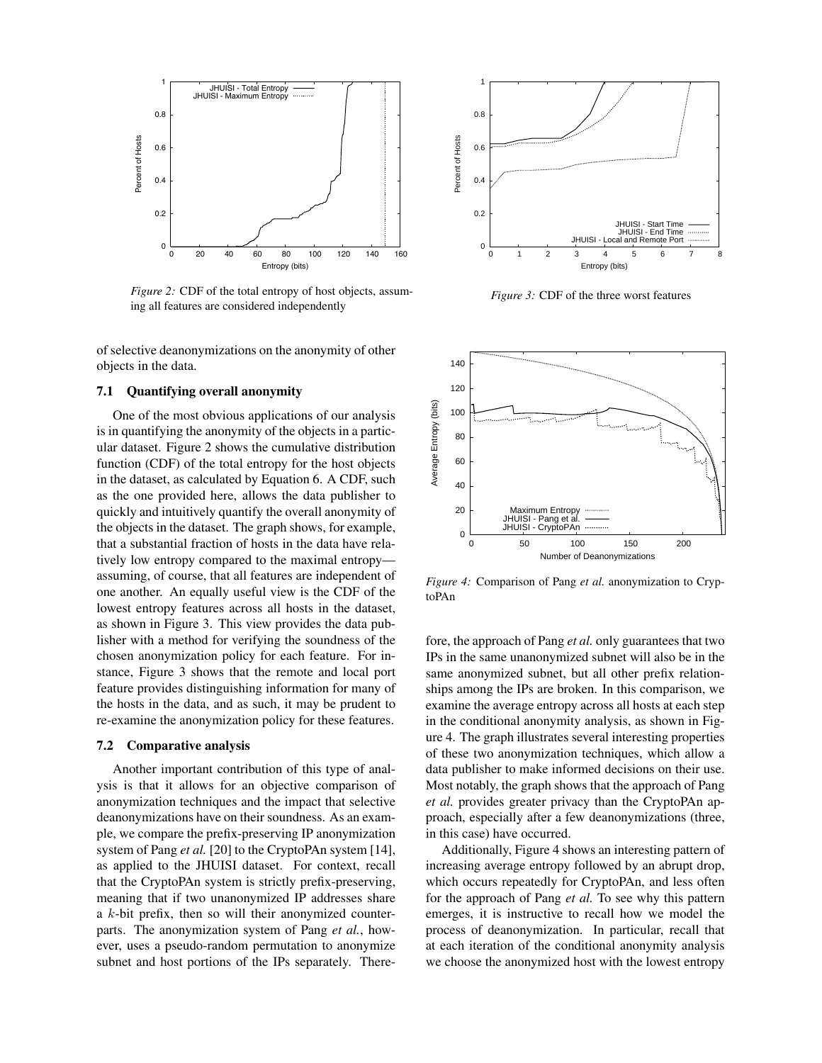

*Figure 2:* CDF of the total entropy of host objects, assuming all features are considered independently

of selective deanonymizations on the anonymity of other objects in the data.

### 7.1 Quantifying overall anonymity

One of the most obvious applications of our analysis is in quantifying the anonymity of the objects in a particular dataset. Figure 2 shows the cumulative distribution function (CDF) of the total entropy for the host objects in the dataset, as calculated by Equation 6. A CDF, such as the one provided here, allows the data publisher to quickly and intuitively quantify the overall anonymity of the objects in the dataset. The graph shows, for example, that a substantial fraction of hosts in the data have relatively low entropy compared to the maximal entropy assuming, of course, that all features are independent of one another. An equally useful view is the CDF of the lowest entropy features across all hosts in the dataset, as shown in Figure 3. This view provides the data publisher with a method for verifying the soundness of the chosen anonymization policy for each feature. For instance, Figure 3 shows that the remote and local port feature provides distinguishing information for many of the hosts in the data, and as such, it may be prudent to re-examine the anonymization policy for these features.

#### 7.2 Comparative analysis

Another important contribution of this type of analysis is that it allows for an objective comparison of anonymization techniques and the impact that selective deanonymizations have on their soundness. As an example, we compare the prefix-preserving IP anonymization system of Pang *et al.* [20] to the CryptoPAn system [14], as applied to the JHUISI dataset. For context, recall that the CryptoPAn system is strictly prefix-preserving, meaning that if two unanonymized IP addresses share a  $k$ -bit prefix, then so will their anonymized counterparts. The anonymization system of Pang *et al.*, however, uses a pseudo-random permutation to anonymize subnet and host portions of the IPs separately. There-



*Figure 3:* CDF of the three worst features



*Figure 4:* Comparison of Pang *et al.* anonymization to CryptoPAn

fore, the approach of Pang *et al.* only guarantees that two IPs in the same unanonymized subnet will also be in the same anonymized subnet, but all other prefix relationships among the IPs are broken. In this comparison, we examine the average entropy across all hosts at each step in the conditional anonymity analysis, as shown in Figure 4. The graph illustrates several interesting properties of these two anonymization techniques, which allow a data publisher to make informed decisions on their use. Most notably, the graph shows that the approach of Pang *et al.* provides greater privacy than the CryptoPAn approach, especially after a few deanonymizations (three, in this case) have occurred.

Additionally, Figure 4 shows an interesting pattern of increasing average entropy followed by an abrupt drop, which occurs repeatedly for CryptoPAn, and less often for the approach of Pang *et al.* To see why this pattern emerges, it is instructive to recall how we model the process of deanonymization. In particular, recall that at each iteration of the conditional anonymity analysis we choose the anonymized host with the lowest entropy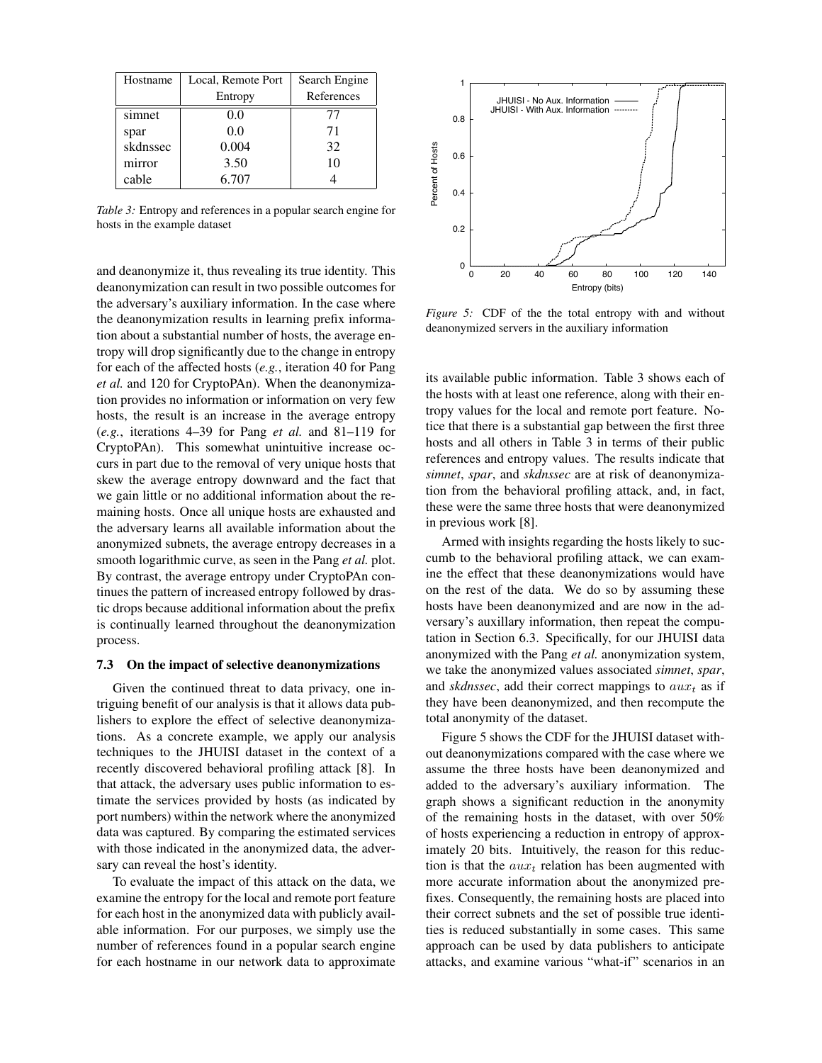| Hostname | Local, Remote Port | Search Engine |
|----------|--------------------|---------------|
|          | Entropy            | References    |
| simnet   | 0.0                | 77            |
| spar     | 0.0                | 71            |
| skdnssec | 0.004              | 32            |
| mirror   | 3.50               | 10            |
| cable    | 6.707              |               |

*Table 3:* Entropy and references in a popular search engine for hosts in the example dataset

and deanonymize it, thus revealing its true identity. This deanonymization can result in two possible outcomes for the adversary's auxiliary information. In the case where the deanonymization results in learning prefix information about a substantial number of hosts, the average entropy will drop significantly due to the change in entropy for each of the affected hosts (*e.g.*, iteration 40 for Pang *et al.* and 120 for CryptoPAn). When the deanonymization provides no information or information on very few hosts, the result is an increase in the average entropy (*e.g.*, iterations 4–39 for Pang *et al.* and 81–119 for CryptoPAn). This somewhat unintuitive increase occurs in part due to the removal of very unique hosts that skew the average entropy downward and the fact that we gain little or no additional information about the remaining hosts. Once all unique hosts are exhausted and the adversary learns all available information about the anonymized subnets, the average entropy decreases in a smooth logarithmic curve, as seen in the Pang *et al.* plot. By contrast, the average entropy under CryptoPAn continues the pattern of increased entropy followed by drastic drops because additional information about the prefix is continually learned throughout the deanonymization process.

#### 7.3 On the impact of selective deanonymizations

Given the continued threat to data privacy, one intriguing benefit of our analysis is that it allows data publishers to explore the effect of selective deanonymizations. As a concrete example, we apply our analysis techniques to the JHUISI dataset in the context of a recently discovered behavioral profiling attack [8]. In that attack, the adversary uses public information to estimate the services provided by hosts (as indicated by port numbers) within the network where the anonymized data was captured. By comparing the estimated services with those indicated in the anonymized data, the adversary can reveal the host's identity.

To evaluate the impact of this attack on the data, we examine the entropy for the local and remote port feature for each host in the anonymized data with publicly available information. For our purposes, we simply use the number of references found in a popular search engine for each hostname in our network data to approximate



*Figure 5:* CDF of the the total entropy with and without deanonymized servers in the auxiliary information

its available public information. Table 3 shows each of the hosts with at least one reference, along with their entropy values for the local and remote port feature. Notice that there is a substantial gap between the first three hosts and all others in Table 3 in terms of their public references and entropy values. The results indicate that *simnet*, *spar*, and *skdnssec* are at risk of deanonymization from the behavioral profiling attack, and, in fact, these were the same three hosts that were deanonymized in previous work [8].

Armed with insights regarding the hosts likely to succumb to the behavioral profiling attack, we can examine the effect that these deanonymizations would have on the rest of the data. We do so by assuming these hosts have been deanonymized and are now in the adversary's auxillary information, then repeat the computation in Section 6.3. Specifically, for our JHUISI data anonymized with the Pang *et al.* anonymization system, we take the anonymized values associated *simnet*, *spar*, and *skdnssec*, add their correct mappings to  $aux_t$  as if they have been deanonymized, and then recompute the total anonymity of the dataset.

Figure 5 shows the CDF for the JHUISI dataset without deanonymizations compared with the case where we assume the three hosts have been deanonymized and added to the adversary's auxiliary information. The graph shows a significant reduction in the anonymity of the remaining hosts in the dataset, with over 50% of hosts experiencing a reduction in entropy of approximately 20 bits. Intuitively, the reason for this reduction is that the  $aux_t$  relation has been augmented with more accurate information about the anonymized prefixes. Consequently, the remaining hosts are placed into their correct subnets and the set of possible true identities is reduced substantially in some cases. This same approach can be used by data publishers to anticipate attacks, and examine various "what-if" scenarios in an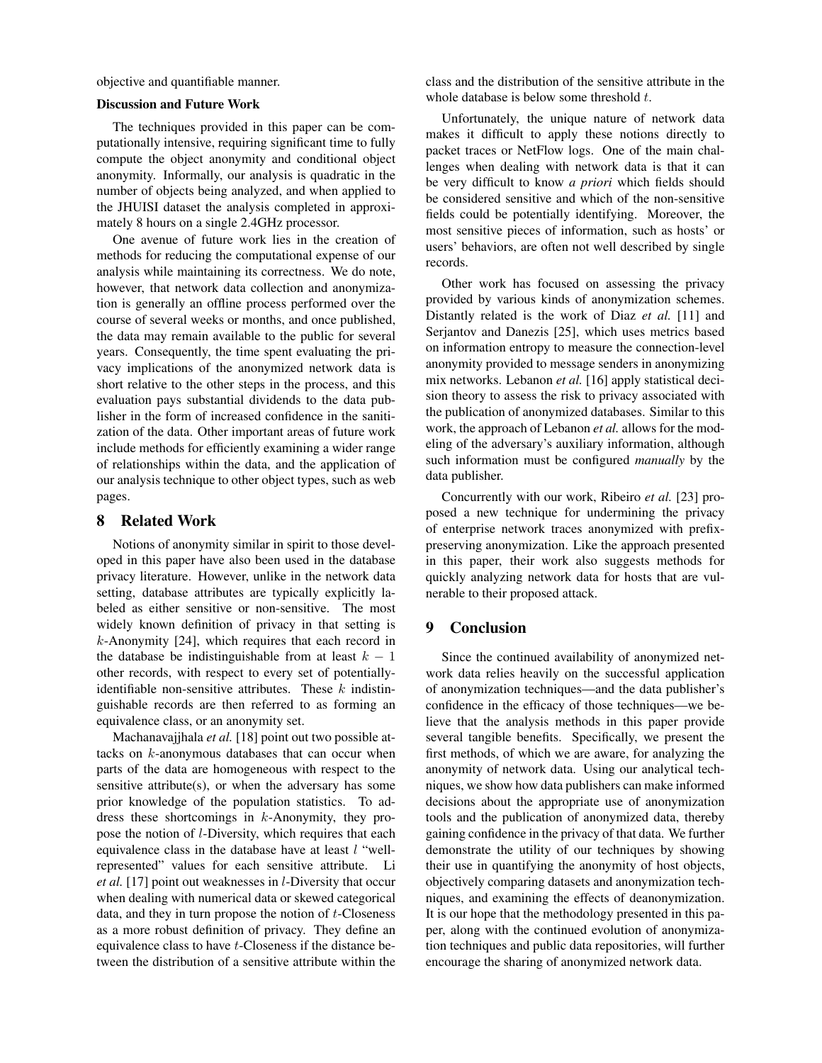objective and quantifiable manner.

#### Discussion and Future Work

The techniques provided in this paper can be computationally intensive, requiring significant time to fully compute the object anonymity and conditional object anonymity. Informally, our analysis is quadratic in the number of objects being analyzed, and when applied to the JHUISI dataset the analysis completed in approximately 8 hours on a single 2.4GHz processor.

One avenue of future work lies in the creation of methods for reducing the computational expense of our analysis while maintaining its correctness. We do note, however, that network data collection and anonymization is generally an offline process performed over the course of several weeks or months, and once published, the data may remain available to the public for several years. Consequently, the time spent evaluating the privacy implications of the anonymized network data is short relative to the other steps in the process, and this evaluation pays substantial dividends to the data publisher in the form of increased confidence in the sanitization of the data. Other important areas of future work include methods for efficiently examining a wider range of relationships within the data, and the application of our analysis technique to other object types, such as web pages.

### 8 Related Work

Notions of anonymity similar in spirit to those developed in this paper have also been used in the database privacy literature. However, unlike in the network data setting, database attributes are typically explicitly labeled as either sensitive or non-sensitive. The most widely known definition of privacy in that setting is k-Anonymity [24], which requires that each record in the database be indistinguishable from at least  $k - 1$ other records, with respect to every set of potentiallyidentifiable non-sensitive attributes. These  $k$  indistinguishable records are then referred to as forming an equivalence class, or an anonymity set.

Machanavajjhala *et al.* [18] point out two possible attacks on  $k$ -anonymous databases that can occur when parts of the data are homogeneous with respect to the sensitive attribute(s), or when the adversary has some prior knowledge of the population statistics. To address these shortcomings in k-Anonymity, they propose the notion of l-Diversity, which requires that each equivalence class in the database have at least  $l$  "wellrepresented" values for each sensitive attribute. Li *et al.* [17] point out weaknesses in l-Diversity that occur when dealing with numerical data or skewed categorical data, and they in turn propose the notion of  $t$ -Closeness as a more robust definition of privacy. They define an equivalence class to have t-Closeness if the distance between the distribution of a sensitive attribute within the class and the distribution of the sensitive attribute in the whole database is below some threshold  $t$ .

Unfortunately, the unique nature of network data makes it difficult to apply these notions directly to packet traces or NetFlow logs. One of the main challenges when dealing with network data is that it can be very difficult to know *a priori* which fields should be considered sensitive and which of the non-sensitive fields could be potentially identifying. Moreover, the most sensitive pieces of information, such as hosts' or users' behaviors, are often not well described by single records.

Other work has focused on assessing the privacy provided by various kinds of anonymization schemes. Distantly related is the work of Diaz *et al.* [11] and Serjantov and Danezis [25], which uses metrics based on information entropy to measure the connection-level anonymity provided to message senders in anonymizing mix networks. Lebanon *et al.* [16] apply statistical decision theory to assess the risk to privacy associated with the publication of anonymized databases. Similar to this work, the approach of Lebanon *et al.* allows for the modeling of the adversary's auxiliary information, although such information must be configured *manually* by the data publisher.

Concurrently with our work, Ribeiro *et al.* [23] proposed a new technique for undermining the privacy of enterprise network traces anonymized with prefixpreserving anonymization. Like the approach presented in this paper, their work also suggests methods for quickly analyzing network data for hosts that are vulnerable to their proposed attack.

# 9 Conclusion

Since the continued availability of anonymized network data relies heavily on the successful application of anonymization techniques—and the data publisher's confidence in the efficacy of those techniques—we believe that the analysis methods in this paper provide several tangible benefits. Specifically, we present the first methods, of which we are aware, for analyzing the anonymity of network data. Using our analytical techniques, we show how data publishers can make informed decisions about the appropriate use of anonymization tools and the publication of anonymized data, thereby gaining confidence in the privacy of that data. We further demonstrate the utility of our techniques by showing their use in quantifying the anonymity of host objects, objectively comparing datasets and anonymization techniques, and examining the effects of deanonymization. It is our hope that the methodology presented in this paper, along with the continued evolution of anonymization techniques and public data repositories, will further encourage the sharing of anonymized network data.